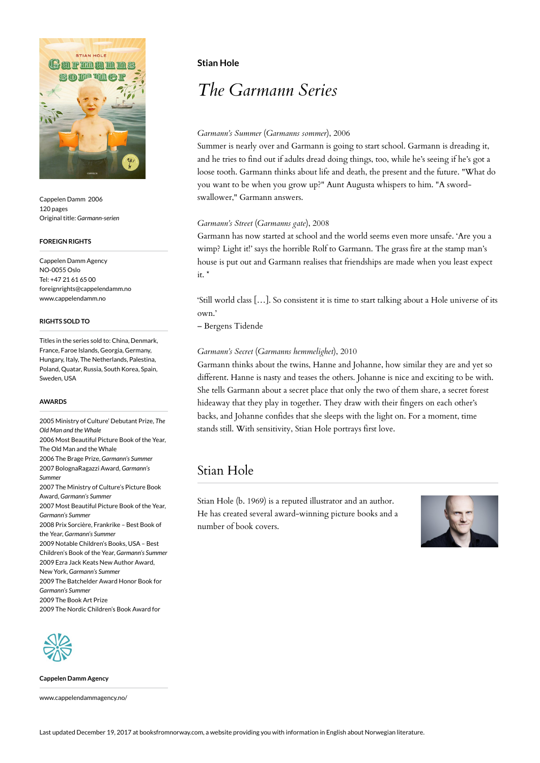

Cappelen Damm 2006 120 pages Original title: *Garmann-serien*

#### **FOREIGN RIGHTS**

Cappelen Damm Agency NO-0055 Oslo Tel: +47 21 61 65 00 foreignrights@cappelendamm.no www.cappelendamm.no

### **RIGHTS SOLD TO**

Titles in the series sold to: China, Denmark, France, Faroe Islands, Georgia, Germany, Hungary, Italy, The Netherlands, Palestina, Poland, Quatar, Russia, South Korea, Spain, Sweden, USA

### **AWARDS**

2005 Ministry of Culture' Debutant Prize, *The Old Man and the Whale* 2006 Most Beautiful Picture Book of the Year, The Old Man and the Whale 2006 The Brage Prize, *Garmann's Summer* 2007 BolognaRagazzi Award, *Garmann's Summer* 2007 The Ministry of Culture's Picture Book Award, *Garmann's Summer* 2007 Most Beautiful Picture Book of the Year, *Garmann's Summer* 2008 Prix Sorcière, Frankrike – Best Book of the Year, *Garmann's Summer* 2009 Notable Children's Books, USA – Best Children's Book of the Year, *Garmann's Summer* 2009 Ezra Jack Keats New Author Award, New York, *Garmann's Summer* 2009 The Batchelder Award Honor Book for *Garmann's Summer* 2009 The Book Art Prize

2009 The Nordic Children's Book Award for



**Cappelen Damm Agency**

www.cappelendammagency.no/

# **Stian Hole**

# *The Garmann Series*

# *Garmann's Summer* (*Garmanns sommer*), 2006

Summer is nearly over and Garmann is going to start school. Garmann is dreading it, and he tries to find out if adults dread doing things, too, while he's seeing if he's got a loose tooth. Garmann thinks about life and death, the present and the future. "What do you want to be when you grow up?" Aunt Augusta whispers to him. "A swordswallower," Garmann answers.

### *Garmann's Street* (*Garmanns gate*), 2008

Garmann has now started at school and the world seems even more unsafe. 'Are you a wimp? Light it!' says the horrible Rolf to Garmann. The grass fire at the stamp man's house is put out and Garmann realises that friendships are made when you least expect  $it.$ <sup>\*</sup>

'Still world class […]. So consistent it is time to start talking about a Hole universe of its own.'

– Bergens Tidende

### *Garmann's Secret* (*Garmanns hemmelighet*), 2010

Garmann thinks about the twins, Hanne and Johanne, how similar they are and yet so different. Hanne is nasty and teases the others. Johanne is nice and exciting to be with. She tells Garmann about a secret place that only the two of them share, a secret forest hideaway that they play in together. They draw with their fingers on each other's backs, and Johanne confides that she sleeps with the light on. For a moment, time stands still. With sensitivity, Stian Hole portrays first love.

# Stian Hole

Stian Hole (b. 1969) is a reputed illustrator and an author. He has created several award-winning picture books and a number of book covers.